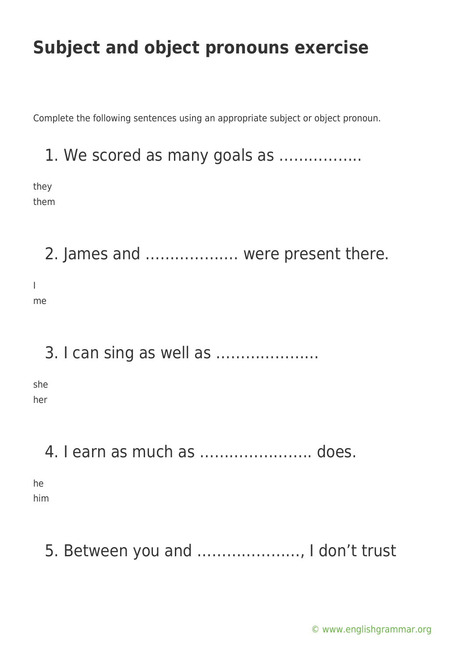Complete the following sentences using an appropriate subject or object pronoun.

#### 1. We scored as many goals as ……………..

they them

I

2. James and ………………. were present there. me

#### 3. I can sing as well as …………………

she her

#### 4. I earn as much as ………………….. does.

he him

## 5. Between you and …………………, I don't trust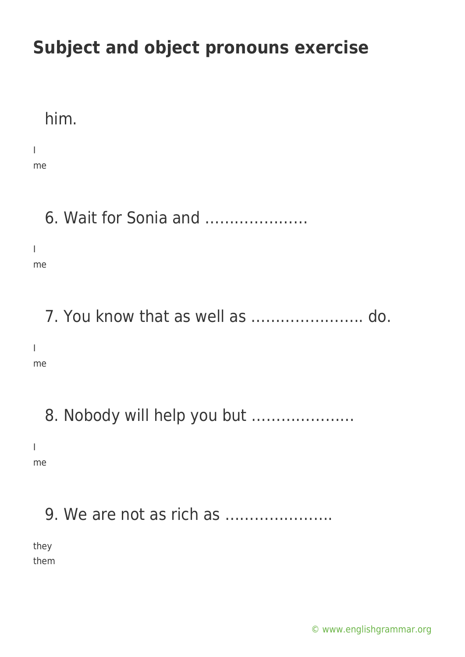#### him.

I

me

## 6. Wait for Sonia and …………………

I me

## 7. You know that as well as ………………….. do.

I

me

## 8. Nobody will help you but …………………

I

me

## 9. We are not as rich as ………………….

they them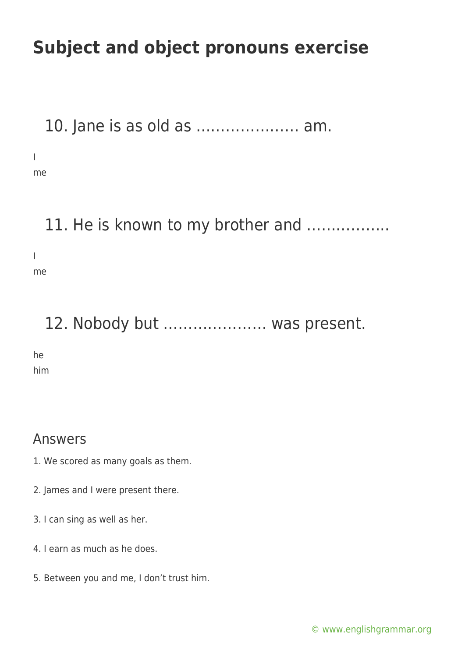10. Jane is as old as ………………… am.

I

me

#### 11. He is known to my brother and .................

I me

## 12. Nobody but ………………… was present.

he

him

#### Answers

- 1. We scored as many goals as them.
- 2. James and I were present there.
- 3. I can sing as well as her.
- 4. I earn as much as he does.
- 5. Between you and me, I don't trust him.